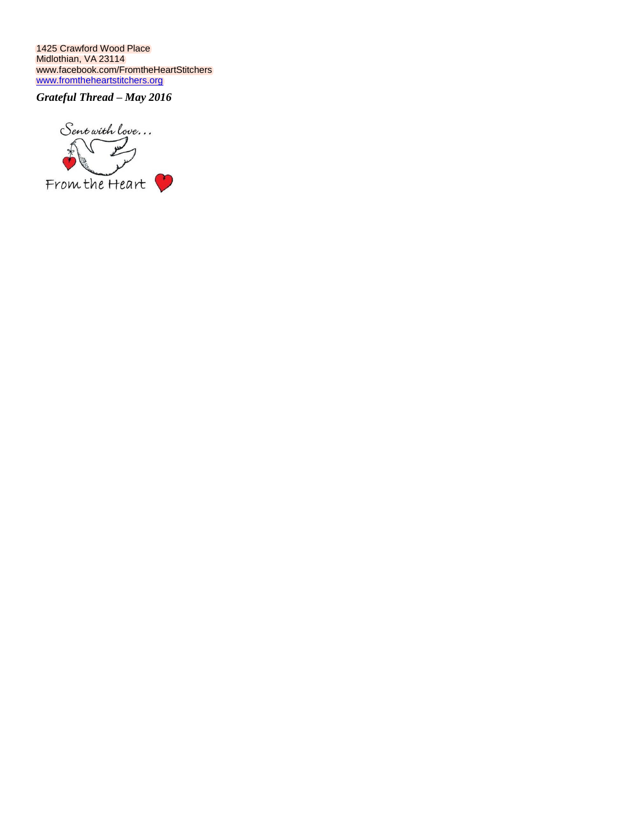1425 Crawford Wood Place Midlothian, VA 23114 [www.facebook.com/FromtheHeartStitchers](http://www.facebook.com/FromtheHeartStitchers) [www.fromtheheartstitchers.org](http://www.fromtheheartstitchers.org/)

*Grateful Thread – May 2016*

Sent with love...  $\frac{1}{2}$  $\sqrt{\mu}$ From the Heart Ĵ,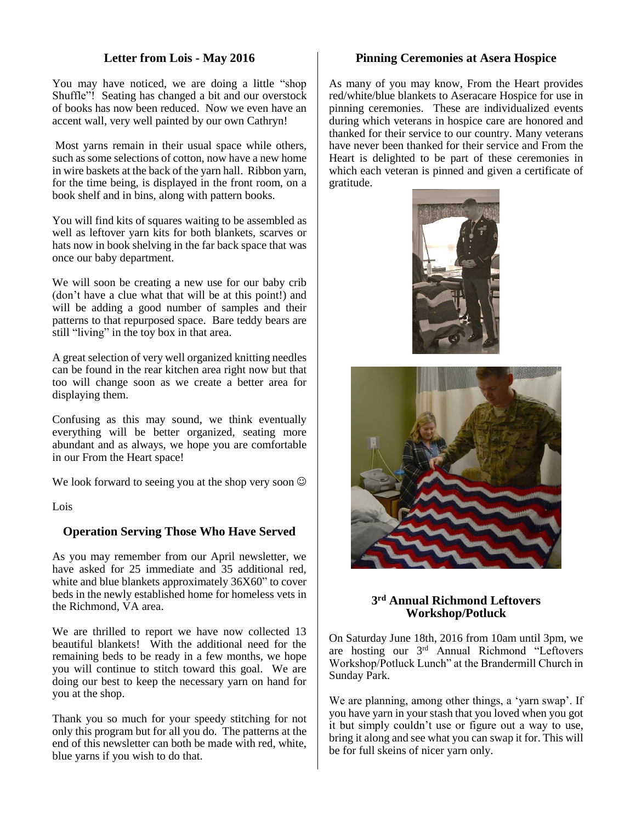# **Letter from Lois - May 2016**

You may have noticed, we are doing a little "shop Shuffle"! Seating has changed a bit and our overstock of books has now been reduced. Now we even have an accent wall, very well painted by our own Cathryn!

Most yarns remain in their usual space while others, such as some selections of cotton, now have a new home in wire baskets at the back of the yarn hall. Ribbon yarn, for the time being, is displayed in the front room, on a book shelf and in bins, along with pattern books.

You will find kits of squares waiting to be assembled as well as leftover yarn kits for both blankets, scarves or hats now in book shelving in the far back space that was once our baby department.

We will soon be creating a new use for our baby crib (don't have a clue what that will be at this point!) and will be adding a good number of samples and their patterns to that repurposed space. Bare teddy bears are still "living" in the toy box in that area.

A great selection of very well organized knitting needles can be found in the rear kitchen area right now but that too will change soon as we create a better area for displaying them.

Confusing as this may sound, we think eventually everything will be better organized, seating more abundant and as always, we hope you are comfortable in our From the Heart space!

We look forward to seeing you at the shop very soon  $\odot$ 

Lois

# **Operation Serving Those Who Have Served**

As you may remember from our April newsletter, we have asked for 25 immediate and 35 additional red, white and blue blankets approximately 36X60" to cover beds in the newly established home for homeless vets in the Richmond, VA area.

We are thrilled to report we have now collected 13 beautiful blankets! With the additional need for the remaining beds to be ready in a few months, we hope you will continue to stitch toward this goal. We are doing our best to keep the necessary yarn on hand for you at the shop.

Thank you so much for your speedy stitching for not only this program but for all you do. The patterns at the end of this newsletter can both be made with red, white, blue yarns if you wish to do that.

#### **Pinning Ceremonies at Asera Hospice**

As many of you may know, From the Heart provides red/white/blue blankets to Aseracare Hospice for use in pinning ceremonies. These are individualized events during which veterans in hospice care are honored and thanked for their service to our country. Many veterans have never been thanked for their service and From the Heart is delighted to be part of these ceremonies in which each veteran is pinned and given a certificate of gratitude.





# **3 rd Annual Richmond Leftovers Workshop/Potluck**

On Saturday June 18th, 2016 from 10am until 3pm, we are hosting our 3rd Annual Richmond "Leftovers Workshop/Potluck Lunch" at the Brandermill Church in Sunday Park.

We are planning, among other things, a 'yarn swap'. If you have yarn in your stash that you loved when you got it but simply couldn't use or figure out a way to use, bring it along and see what you can swap it for. This will be for full skeins of nicer yarn only.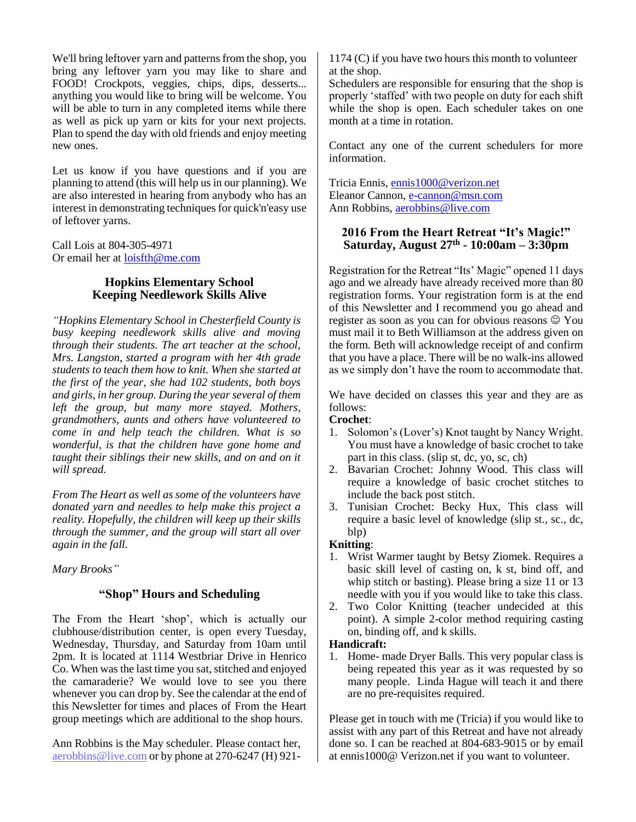We'll bring leftover yarn and patterns from the shop, you bring any leftover yarn you may like to share and FOOD! Crockpots, veggies, chips, dips, desserts... anything you would like to bring will be welcome. You will be able to turn in any completed items while there as well as pick up yarn or kits for your next projects. Plan to spend the day with old friends and enjoy meeting new ones.

Let us know if you have questions and if you are planning to attend (this will help us in our planning). We are also interested in hearing from anybody who has an interest in demonstrating techniques for quick'n'easy use of leftover yarns.

Call Lois at 804-305-4971 Or email her at [loisfth@me.com](mailto:loisfth@me.com)

# **Hopkins Elementary School Keeping Needlework Skills Alive**

*"Hopkins Elementary School in Chesterfield County is busy keeping needlework skills alive and moving through their students. The art teacher at the school, Mrs. Langston, started a program with her 4th grade students to teach them how to knit. When she started at the first of the year, she had 102 students, both boys and girls, in her group. During the year several of them left the group, but many more stayed. Mothers, grandmothers, aunts and others have volunteered to come in and help teach the children. What is so wonderful, is that the children have gone home and taught their siblings their new skills, and on and on it will spread.*

*From The Heart as well as some of the volunteers have donated yarn and needles to help make this project a reality. Hopefully, the children will keep up their skills through the summer, and the group will start all over again in the fall.*

*Mary Brooks"*

# **"Shop" Hours and Scheduling**

The From the Heart 'shop', which is actually our clubhouse/distribution center, is open every Tuesday, Wednesday, Thursday, and Saturday from 10am until 2pm. It is located at 1114 Westbriar Drive in Henrico Co. When was the last time you sat, stitched and enjoyed the camaraderie? We would love to see you there whenever you can drop by. See the calendar at the end of this Newsletter for times and places of From the Heart group meetings which are additional to the shop hours.

Ann Robbins is the May scheduler. Please contact her, [aerobbins@live.com](mailto:aerobbins@live.com) or by phone at 270-6247 (H) 921-

1174 (C) if you have two hours this month to volunteer at the shop.

Schedulers are responsible for ensuring that the shop is properly 'staffed' with two people on duty for each shift while the shop is open. Each scheduler takes on one month at a time in rotation.

Contact any one of the current schedulers for more information.

Tricia Ennis, [ennis1000@verizon.net](mailto:ennis1000@verizon.net) Eleanor Cannon, [e-cannon@msn.com](mailto:e-cannon@msn.com) Ann Robbins[, aerobbins@live.com](mailto:aerobbins@live.com)

# **2016 From the Heart Retreat "It's Magic!" Saturday, August 27th - 10:00am – 3:30pm**

Registration for the Retreat "Its' Magic" opened 11 days ago and we already have already received more than 80 registration forms. Your registration form is at the end of this Newsletter and I recommend you go ahead and register as soon as you can for obvious reasons  $\odot$  You must mail it to Beth Williamson at the address given on the form. Beth will acknowledge receipt of and confirm that you have a place. There will be no walk-ins allowed as we simply don't have the room to accommodate that.

We have decided on classes this year and they are as follows:

# **Crochet**:

- 1. Solomon's (Lover's) Knot taught by Nancy Wright. You must have a knowledge of basic crochet to take part in this class. (slip st, dc, yo, sc, ch)
- 2. Bavarian Crochet: Johnny Wood. This class will require a knowledge of basic crochet stitches to include the back post stitch.
- 3. Tunisian Crochet: Becky Hux, This class will require a basic level of knowledge (slip st., sc., dc, blp)

# **Knitting**:

- 1. Wrist Warmer taught by Betsy Ziomek. Requires a basic skill level of casting on, k st, bind off, and whip stitch or basting). Please bring a size 11 or 13 needle with you if you would like to take this class.
- 2. Two Color Knitting (teacher undecided at this point). A simple 2-color method requiring casting on, binding off, and k skills.

# **Handicraft:**

1. Home- made Dryer Balls. This very popular class is being repeated this year as it was requested by so many people. Linda Hague will teach it and there are no pre-requisites required.

Please get in touch with me (Tricia) if you would like to assist with any part of this Retreat and have not already done so. I can be reached at 804-683-9015 or by email at ennis1000@ Verizon.net if you want to volunteer.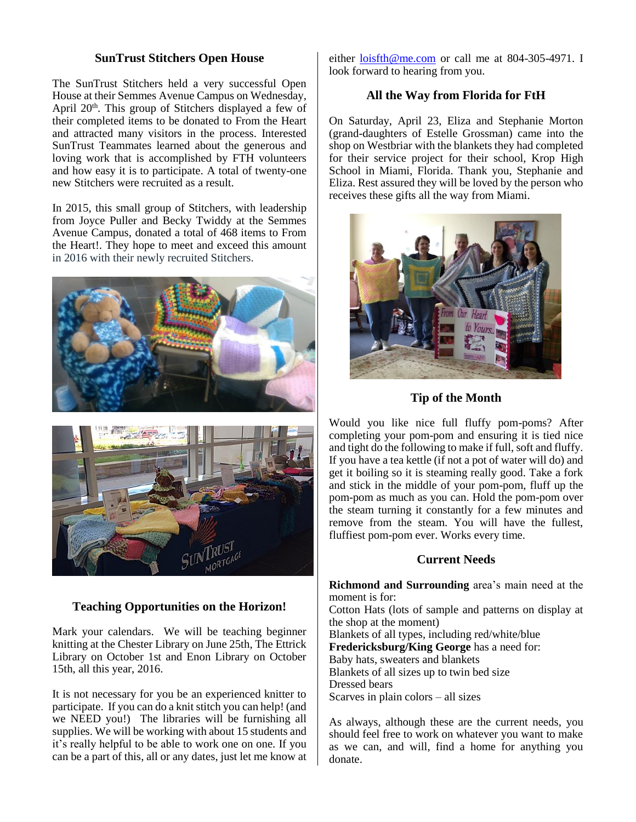# **SunTrust Stitchers Open House**

The SunTrust Stitchers held a very successful Open House at their Semmes Avenue Campus on Wednesday, April 20<sup>th</sup>. This group of Stitchers displayed a few of their completed items to be donated to From the Heart and attracted many visitors in the process. Interested SunTrust Teammates learned about the generous and loving work that is accomplished by FTH volunteers and how easy it is to participate. A total of twenty-one new Stitchers were recruited as a result.

In 2015, this small group of Stitchers, with leadership from Joyce Puller and Becky Twiddy at the Semmes Avenue Campus, donated a total of 468 items to From the Heart!. They hope to meet and exceed this amount in 2016 with their newly recruited Stitchers.





# **Teaching Opportunities on the Horizon!**

Mark your calendars. We will be teaching beginner knitting at the Chester Library on June 25th, The Ettrick Library on October 1st and Enon Library on October 15th, all this year, 2016.

It is not necessary for you be an experienced knitter to participate. If you can do a knit stitch you can help! (and we NEED you!) The libraries will be furnishing all supplies. We will be working with about 15 students and it's really helpful to be able to work one on one. If you can be a part of this, all or any dates, just let me know at either [loisfth@me.com](mailto:loisfth@me.com) or call me at 804-305-4971. I look forward to hearing from you.

# **All the Way from Florida for FtH**

On Saturday, April 23, Eliza and Stephanie Morton (grand-daughters of Estelle Grossman) came into the shop on Westbriar with the blankets they had completed for their service project for their school, Krop High School in Miami, Florida. Thank you, Stephanie and Eliza. Rest assured they will be loved by the person who receives these gifts all the way from Miami.



**Tip of the Month**

Would you like nice full fluffy pom-poms? After completing your pom-pom and ensuring it is tied nice and tight do the following to make if full, soft and fluffy. If you have a tea kettle (if not a pot of water will do) and get it boiling so it is steaming really good. Take a fork and stick in the middle of your pom-pom, fluff up the pom-pom as much as you can. Hold the pom-pom over the steam turning it constantly for a few minutes and remove from the steam. You will have the fullest, fluffiest pom-pom ever. Works every time.

#### **Current Needs**

**Richmond and Surrounding** area's main need at the moment is for: Cotton Hats (lots of sample and patterns on display at the shop at the moment) Blankets of all types, including red/white/blue **Fredericksburg/King George** has a need for: Baby hats, sweaters and blankets Blankets of all sizes up to twin bed size Dressed bears Scarves in plain colors – all sizes

As always, although these are the current needs, you should feel free to work on whatever you want to make as we can, and will, find a home for anything you donate.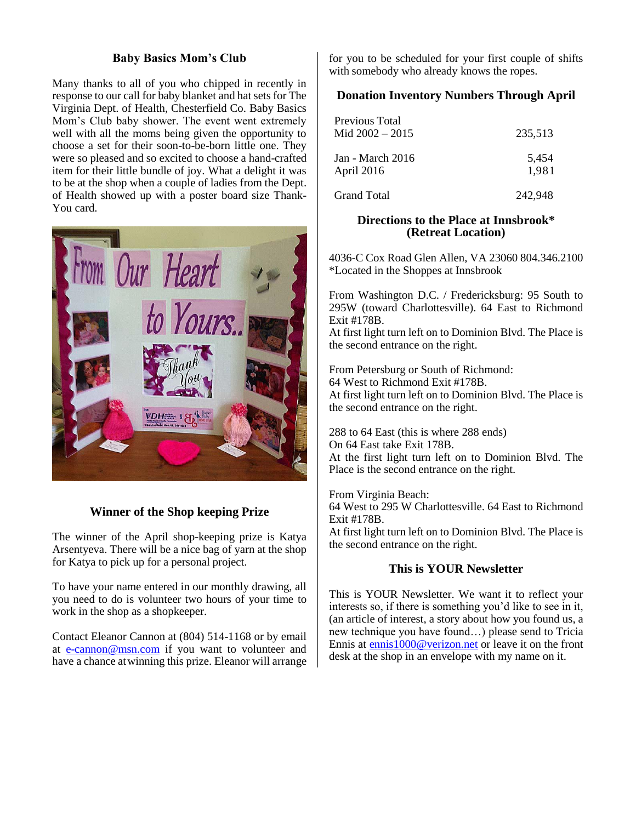# **Baby Basics Mom's Club**

Many thanks to all of you who chipped in recently in response to our call for baby blanket and hat sets for The Virginia Dept. of Health, Chesterfield Co. Baby Basics Mom's Club baby shower. The event went extremely well with all the moms being given the opportunity to choose a set for their soon-to-be-born little one. They were so pleased and so excited to choose a hand-crafted item for their little bundle of joy. What a delight it was to be at the shop when a couple of ladies from the Dept. of Health showed up with a poster board size Thank-You card.



# **Winner of the Shop keeping Prize**

The winner of the April shop-keeping prize is Katya Arsentyeva. There will be a nice bag of yarn at the shop for Katya to pick up for a personal project.

To have your name entered in our monthly drawing, all you need to do is volunteer two hours of your time to work in the shop as a shopkeeper.

Contact Eleanor Cannon at (804) 514-1168 or by email at [e-cannon@msn.com](mailto:e-cannon@msn.com) if you want to volunteer and have a chance atwinning this prize. Eleanor will arrange for you to be scheduled for your first couple of shifts with somebody who already knows the ropes.

# **Donation Inventory Numbers Through April**

| Previous Total<br>Mid $2002 - 2015$ | 235,513        |  |  |
|-------------------------------------|----------------|--|--|
| Jan - March 2016<br>April 2016      | 5,454<br>1,981 |  |  |
| Grand Total                         | 242.948        |  |  |

#### **Directions to the Place at Innsbrook\* (Retreat Location)**

4036-C Cox Road Glen Allen, VA 23060 804.346.2100 \*Located in the Shoppes at Innsbrook

From Washington D.C. / Fredericksburg: 95 South to 295W (toward Charlottesville). 64 East to Richmond Exit #178B.

At first light turn left on to Dominion Blvd. The Place is the second entrance on the right.

From Petersburg or South of Richmond: 64 West to Richmond Exit #178B. At first light turn left on to Dominion Blvd. The Place is the second entrance on the right.

288 to 64 East (this is where 288 ends) On 64 East take Exit 178B. At the first light turn left on to Dominion Blvd. The Place is the second entrance on the right.

From Virginia Beach: 64 West to 295 W Charlottesville. 64 East to Richmond Exit #178B. At first light turn left on to Dominion Blvd. The Place is the second entrance on the right.

# **This is YOUR Newsletter**

This is YOUR Newsletter. We want it to reflect your interests so, if there is something you'd like to see in it, (an article of interest, a story about how you found us, a new technique you have found…) please send to Tricia Ennis at [ennis1000@verizon.net](mailto:ennis1000@verizon.net) or leave it on the front desk at the shop in an envelope with my name on it.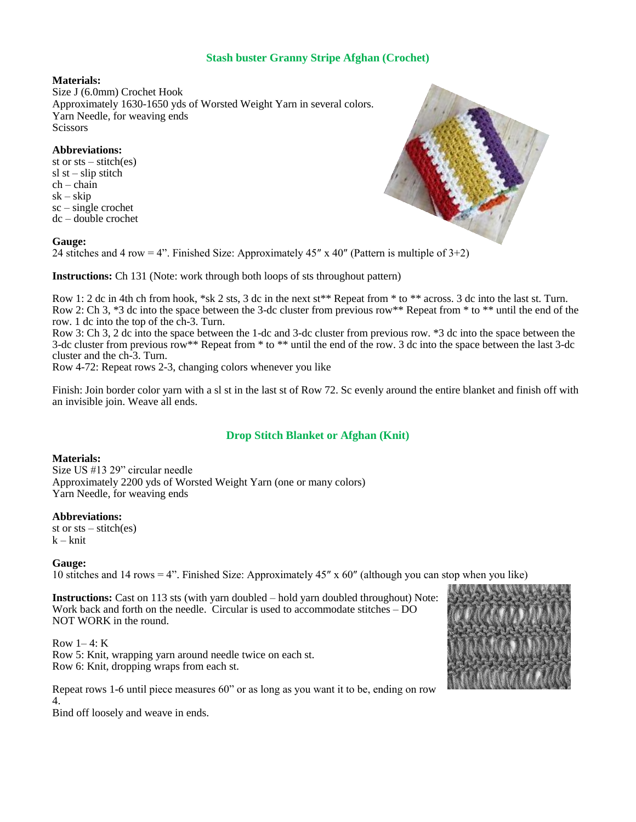# **Stash buster Granny Stripe Afghan (Crochet)**

#### **Materials:**

Size J (6.0mm) Crochet Hook Approximately 1630-1650 yds of Worsted Weight Yarn in several colors. Yarn Needle, for weaving ends **Scissors** 

#### **Abbreviations:**

st or  $sts - stitch(es)$  $sl$  st – slip stitch  $ch - chain$  $sk - skip$  $sc$  – single crochet dc – double crochet

#### **Gauge:**

24 stitches and 4 row = 4". Finished Size: Approximately 45" x 40" (Pattern is multiple of  $3+2$ )

**Instructions:** Ch 131 (Note: work through both loops of sts throughout pattern)

Row 1: 2 dc in 4th ch from hook, \*sk 2 sts, 3 dc in the next st\*\* Repeat from \* to \*\* across. 3 dc into the last st. Turn. Row 2: Ch 3, \*3 dc into the space between the 3-dc cluster from previous row\*\* Repeat from \* to \*\* until the end of the row. 1 dc into the top of the ch-3. Turn.

Row 3: Ch 3, 2 dc into the space between the 1-dc and 3-dc cluster from previous row. \*3 dc into the space between the 3-dc cluster from previous row\*\* Repeat from \* to \*\* until the end of the row. 3 dc into the space between the last 3-dc cluster and the ch-3. Turn.

Row 4-72: Repeat rows 2-3, changing colors whenever you like

Finish: Join border color yarn with a sl st in the last st of Row 72. Sc evenly around the entire blanket and finish off with an invisible join. Weave all ends.

# **Drop Stitch Blanket or Afghan (Knit)**

#### **Materials:**

Size US #13 29" circular needle Approximately 2200 yds of Worsted Weight Yarn (one or many colors) Yarn Needle, for weaving ends

#### **Abbreviations:**

st or  $sts - stitch(es)$  $k - k$ nit

#### **Gauge:**

10 stitches and 14 rows = 4". Finished Size: Approximately 45″ x 60″ (although you can stop when you like)

**Instructions:** Cast on 113 sts (with yarn doubled – hold yarn doubled throughout) Note: Work back and forth on the needle. Circular is used to accommodate stitches – DO NOT WORK in the round.

Row  $1-4$ : K Row 5: Knit, wrapping yarn around needle twice on each st. Row 6: Knit, dropping wraps from each st.

Repeat rows 1-6 until piece measures 60" or as long as you want it to be, ending on row 4.

Bind off loosely and weave in ends.



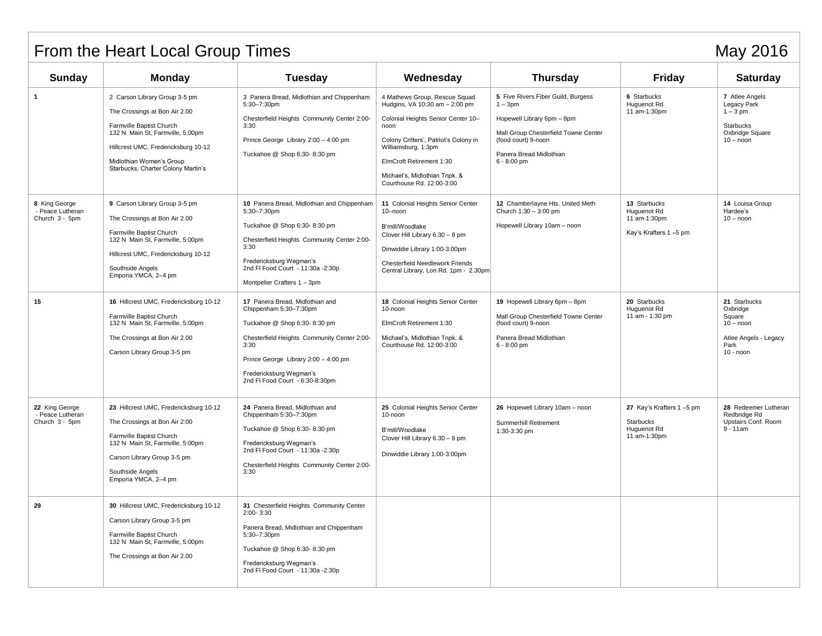# From the Heart Local Group Times May 2016

| Sunday                                               | <b>Monday</b>                                                                                                                                                                                                                           | <b>Tuesday</b>                                                                                                                                                                                                                                         | Wednesday                                                                                                                                                                                                                                                               | <b>Thursday</b>                                                                                                                                                                          | <b>Friday</b>                                                        | <b>Saturday</b>                                                                                   |
|------------------------------------------------------|-----------------------------------------------------------------------------------------------------------------------------------------------------------------------------------------------------------------------------------------|--------------------------------------------------------------------------------------------------------------------------------------------------------------------------------------------------------------------------------------------------------|-------------------------------------------------------------------------------------------------------------------------------------------------------------------------------------------------------------------------------------------------------------------------|------------------------------------------------------------------------------------------------------------------------------------------------------------------------------------------|----------------------------------------------------------------------|---------------------------------------------------------------------------------------------------|
| $\mathbf 1$                                          | 2 Carson Library Group 3-5 pm<br>The Crossings at Bon Air 2.00<br>Farmville Baptist Church<br>132 N Main St, Farmville, 5:00pm<br>Hillcrest UMC, Fredericksburg 10-12<br>Midlothian Women's Group<br>Starbucks, Charter Colony Martin's | 3 Panera Bread, Midlothian and Chippenham<br>5:30-7:30pm<br>Chesterfield Heights Community Center 2:00-<br>3:30<br>Prince George Library 2:00 - 4:00 pm<br>Tuckahoe @ Shop 6:30-8:30 pm                                                                | 4 Mathews Group, Rescue Squad<br>Hudgins, VA 10:30 am - 2:00 pm<br>Colonial Heights Senior Center 10-<br>noon<br>Colony Critters', Patriot's Colony in<br>Williamsburg. 1:3pm<br>ElmCroft Retirement 1:30<br>Michael's, Midlothian Tnpk. &<br>Courthouse Rd. 12:00-3:00 | 5 Five Rivers Fiber Guild, Burgess<br>$1 - 3pm$<br>Hopewell Library 6pm - 8pm<br>Mall Group Chesterfield Towne Center<br>(food court) 9-noon<br>Panera Bread Midlothian<br>$6 - 8:00$ pm | 6 Starbucks<br>Huguenot Rd<br>11 am-1:30pm                           | 7 Atlee Angels<br>Legacy Park<br>$1-3$ pm<br><b>Starbucks</b><br>Oxbridge Square<br>$10 -$ noon   |
| 8 King George<br>- Peace Lutheran<br>Church 3 - 5pm  | 9 Carson Library Group 3-5 pm<br>The Crossings at Bon Air 2.00<br>Farmville Baptist Church<br>132 N Main St, Farmville, 5:00pm<br>Hillcrest UMC, Fredericksburg 10-12<br>Southside Angels<br>Emporia YMCA, 2-4 pm                       | 10 Panera Bread, Midlothian and Chippenham<br>5:30-7:30pm<br>Tuckahoe @ Shop 6:30-8:30 pm<br>Chesterfield Heights Community Center 2:00-<br>3:30<br>Fredericksburg Wegman's<br>2nd FI Food Court - 11:30a -2:30p<br>Montpelier Crafters 1 - 3pm        | 11 Colonial Heights Senior Center<br>10-noon<br>B'mill/Woodlake<br>Clover Hill Library 6.30 - 8 pm<br>Dinwiddie Library 1:00-3:00pm<br>Chesterfield Needlework Friends<br>Central Library, Lori Rd. 1pm - 2.30pm                                                        | 12 Chamberlayne Hts. United Meth<br>Church 1:30 - 3:00 pm<br>Hopewell Library 10am - noon                                                                                                | 13 Starbucks<br>Huguenot Rd<br>11 am-1:30pm<br>Kay's Krafters 1-5 pm | 14 Louisa Group<br>Hardee's<br>$10 - noon$                                                        |
| 15                                                   | 16 Hillcrest UMC, Fredericksburg 10-12<br>Farmville Baptist Church<br>132 N Main St, Farmville, 5:00pm<br>The Crossings at Bon Air 2.00<br>Carson Library Group 3-5 pm                                                                  | 17 Panera Bread, Midlothian and<br>Chippenham 5:30-7:30pm<br>Tuckahoe @ Shop 6:30-8:30 pm<br>Chesterfield Heights Community Center 2:00-<br>3:30<br>Prince George Library 2:00 - 4:00 pm<br>Fredericksburg Wegman's<br>2nd FI Food Court - 6:30-8:30pm | 18 Colonial Heights Senior Center<br>10-noon<br>ElmCroft Retirement 1:30<br>Michael's, Midlothian Tnpk. &<br>Courthouse Rd. 12:00-3:00                                                                                                                                  | 19 Hopewell Library 6pm - 8pm<br>Mall Group Chesterfield Towne Center<br>(food court) 9-noon<br>Panera Bread Midlothian<br>$6 - 8:00$ pm                                                 | 20 Starbucks<br>Huguenot Rd<br>11 am - 1:30 pm                       | 21 Starbucks<br>Oxbridge<br>Square<br>$10 - noon$<br>Atlee Angels - Legacy<br>Park<br>$10 -$ noon |
| 22 King George<br>- Peace Lutheran<br>Church 3 - 5pm | 23 Hillcrest UMC, Fredericksburg 10-12<br>The Crossings at Bon Air 2:00<br>Farmville Baptist Church<br>132 N Main St, Farmville, 5:00pm<br>Carson Library Group 3-5 pm<br>Southside Angels<br>Emporia YMCA, 2-4 pm                      | 24 Panera Bread, Midlothian and<br>Chippenham 5:30-7:30pm<br>Tuckahoe @ Shop 6:30-8:30 pm<br>Fredericksburg Wegman's<br>2nd FI Food Court - 11:30a - 2:30p<br>Chesterfield Heights Community Center 2:00-<br>3:30                                      | 25 Colonial Heights Senior Center<br>10-noon<br>B'mill/Woodlake<br>Clover Hill Library 6.30 - 8 pm<br>Dinwiddie Library 1:00-3:00pm                                                                                                                                     | 26 Hopewell Library 10am - noon<br>Summerhill Retirement<br>1:30-3:30 pm                                                                                                                 | 27 Kay's Krafters 1-5 pm<br>Starbucks<br>Huguenot Rd<br>11 am-1:30pm | 28 Redeemer Lutheran<br>Redbridge Rd<br>Upstairs Conf. Room<br>$9 - 11$ am                        |
| 29                                                   | 30 Hillcrest UMC, Fredericksburg 10-12<br>Carson Library Group 3-5 pm<br>Farmville Baptist Church<br>132 N Main St, Farmville, 5:00pm<br>The Crossings at Bon Air 2.00                                                                  | 31 Chesterfield Heights Community Center<br>2:00-3:30<br>Panera Bread, Midlothian and Chippenham<br>5:30-7:30pm<br>Tuckahoe @ Shop 6:30-8:30 pm<br>Fredericksburg Wegman's<br>2nd FI Food Court - 11:30a - 2:30p                                       |                                                                                                                                                                                                                                                                         |                                                                                                                                                                                          |                                                                      |                                                                                                   |